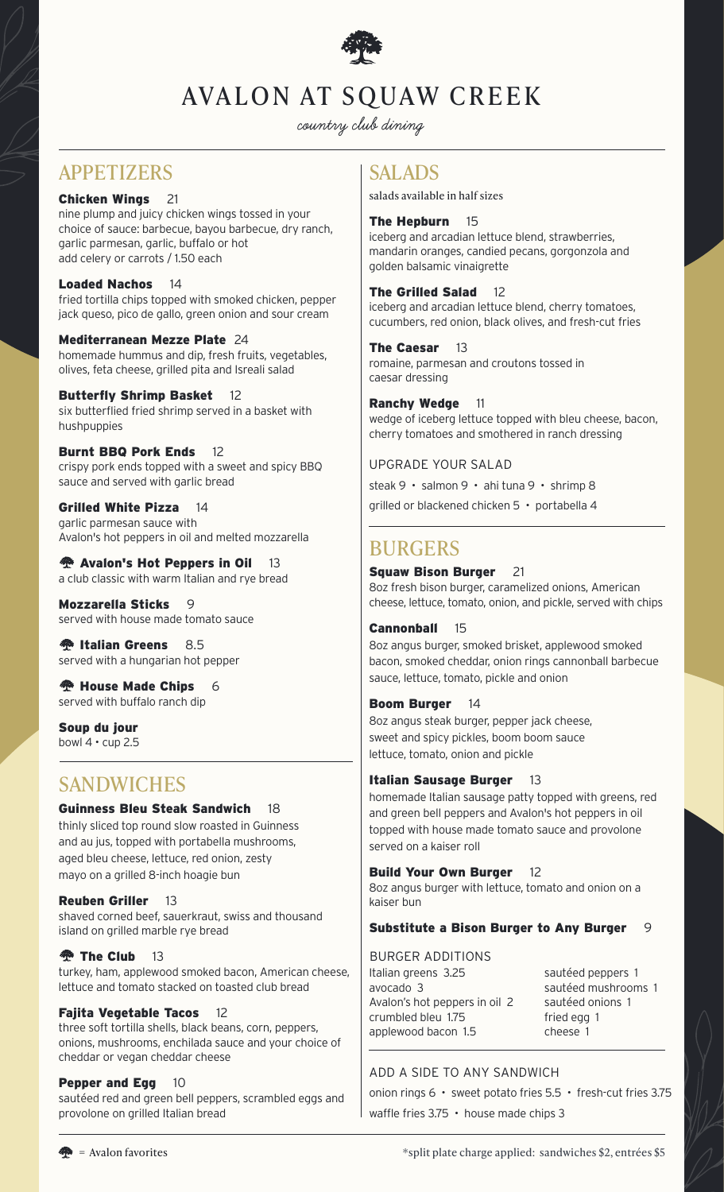

# AVALON AT SQUAW CREEK

**country club dining**

### APPETIZERS SALADS

### Chicken Wings 21

nine plump and juicy chicken wings tossed in your choice of sauce: barbecue, bayou barbecue, dry ranch, garlic parmesan, garlic, buffalo or hot add celery or carrots / 1.50 each

### Loaded Nachos 14

fried tortilla chips topped with smoked chicken, pepper jack queso, pico de gallo, green onion and sour cream

#### Mediterranean Mezze Plate 24 homemade hummus and dip, fresh fruits, vegetables, olives, feta cheese, grilled pita and Isreali salad

#### Butterfly Shrimp Basket 12 six butterflied fried shrimp served in a basket with hushpuppies

Burnt BBQ Pork Ends 12 crispy pork ends topped with a sweet and spicy BBQ sauce and served with garlic bread

Grilled White Pizza 14 garlic parmesan sauce with Avalon's hot peppers in oil and melted mozzarella

**<sup>••</sup>•• Avalon's Hot Peppers in Oil** 13 a club classic with warm Italian and rye bread

Mozzarella Sticks 9 served with house made tomato sauce

**<sup><sup>2</sup>**</sup> Italian Greens 8.5 served with a hungarian hot pepper

**<sup>1</sup> House Made Chips** 6 served with buffalo ranch dip

Soup du jour bowl  $4 \cdot$  cup 2.5

### **SANDWICHES**

### Guinness Bleu Steak Sandwich 18

thinly sliced top round slow roasted in Guinness and au jus, topped with portabella mushrooms, aged bleu cheese, lettuce, red onion, zesty mayo on a grilled 8-inch hoagie bun

### Reuben Griller 13

shaved corned beef, sauerkraut, swiss and thousand island on grilled marble rye bread

### **13 The Club** 13

turkey, ham, applewood smoked bacon, American cheese, lettuce and tomato stacked on toasted club bread

### Fajita Vegetable Tacos 12

three soft tortilla shells, black beans, corn, peppers, onions, mushrooms, enchilada sauce and your choice of cheddar or vegan cheddar cheese

### **Pepper and Egg 10**

sautéed red and green bell peppers, scrambled eggs and provolone on grilled Italian bread

salads available in half sizes

### The Hepburn 15

iceberg and arcadian lettuce blend, strawberries, mandarin oranges, candied pecans, gorgonzola and golden balsamic vinaigrette

The Grilled Salad 12

iceberg and arcadian lettuce blend, cherry tomatoes, cucumbers, red onion, black olives, and fresh-cut fries

#### The Caesar 13 romaine, parmesan and croutons tossed in caesar dressing

Ranchy Wedge 11 wedge of iceberg lettuce topped with bleu cheese, bacon, cherry tomatoes and smothered in ranch dressing

UPGRADE YOUR SALAD

steak 9 · salmon 9 · ahi tuna 9 · shrimp 8

grilled or blackened chicken 5 • portabella 4

## BURGERS

### Squaw Bison Burger 21

8oz fresh bison burger, caramelized onions, American cheese, lettuce, tomato, onion, and pickle, served with chips

### Cannonball 15

8oz angus burger, smoked brisket, applewood smoked bacon, smoked cheddar, onion rings cannonball barbecue sauce, lettuce, tomato, pickle and onion

### Boom Burger 14

8oz angus steak burger, pepper jack cheese, sweet and spicy pickles, boom boom sauce lettuce, tomato, onion and pickle

### Italian Sausage Burger 13

homemade Italian sausage patty topped with greens, red and green bell peppers and Avalon's hot peppers in oil topped with house made tomato sauce and provolone served on a kaiser roll

### Build Your Own Burger 12

8oz angus burger with lettuce, tomato and onion on a kaiser bun

### Substitute a Bison Burger to Any Burger 9

### BURGER ADDITIONS

Italian greens 3.25 avocado 3 Avalon's hot peppers in oil 2 crumbled bleu 1.75 applewood bacon 1.5

sautéed peppers 1 sautéed mushrooms 1 sautéed onions 1 fried egg 1 cheese 1

### ADD A SIDE TO ANY SANDWICH

onion rings 6 • sweet potato fries 5.5 • fresh-cut fries 3.75 waffle fries 3.75 • house made chips 3